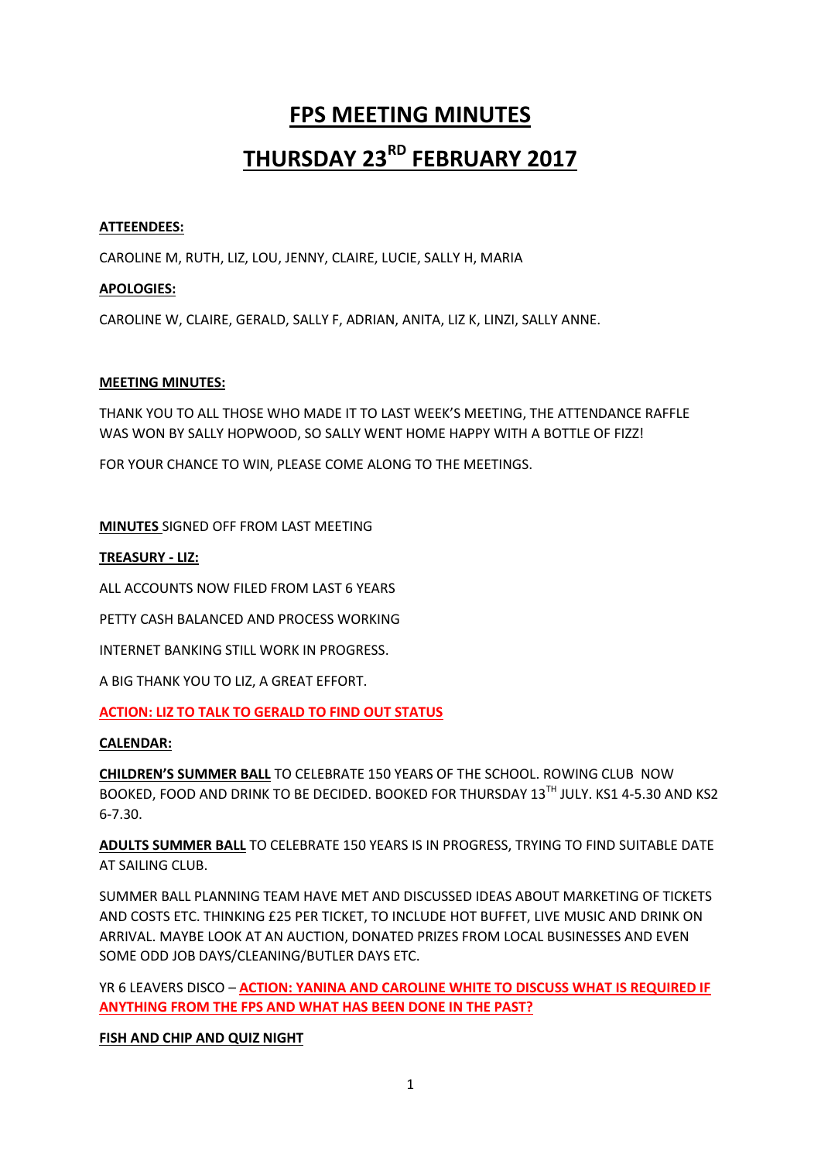# **FPS MEETING MINUTES THURSDAY 23RD FEBRUARY 2017**

# **ATTEENDEES:**

CAROLINE M, RUTH, LIZ, LOU, JENNY, CLAIRE, LUCIE, SALLY H, MARIA

# **APOLOGIES:**

CAROLINE W, CLAIRE, GERALD, SALLY F, ADRIAN, ANITA, LIZ K, LINZI, SALLY ANNE.

# **MEETING MINUTES:**

THANK YOU TO ALL THOSE WHO MADE IT TO LAST WEEK'S MEETING, THE ATTENDANCE RAFFLE WAS WON BY SALLY HOPWOOD, SO SALLY WENT HOME HAPPY WITH A BOTTLE OF FIZZ!

FOR YOUR CHANCE TO WIN, PLEASE COME ALONG TO THE MEETINGS.

# **MINUTES** SIGNED OFF FROM LAST MEETING

# **TREASURY - LIZ:**

ALL ACCOUNTS NOW FILED FROM LAST 6 YEARS

PETTY CASH BALANCED AND PROCESS WORKING

INTERNET BANKING STILL WORK IN PROGRESS.

A BIG THANK YOU TO LIZ, A GREAT EFFORT.

# **ACTION: LIZ TO TALK TO GERALD TO FIND OUT STATUS**

# **CALENDAR:**

**CHILDREN'S SUMMER BALL** TO CELEBRATE 150 YEARS OF THE SCHOOL. ROWING CLUB NOW BOOKED, FOOD AND DRINK TO BE DECIDED. BOOKED FOR THURSDAY 13TH JULY, KS1 4-5.30 AND KS2 6-7.30.

**ADULTS SUMMER BALL** TO CELEBRATE 150 YEARS IS IN PROGRESS, TRYING TO FIND SUITABLE DATE AT SAILING CLUB.

SUMMER BALL PLANNING TEAM HAVE MET AND DISCUSSED IDEAS ABOUT MARKETING OF TICKETS AND COSTS ETC. THINKING £25 PER TICKET, TO INCLUDE HOT BUFFET, LIVE MUSIC AND DRINK ON ARRIVAL. MAYBE LOOK AT AN AUCTION, DONATED PRIZES FROM LOCAL BUSINESSES AND EVEN SOME ODD JOB DAYS/CLEANING/BUTLER DAYS ETC.

YR 6 LEAVERS DISCO – **ACTION: YANINA AND CAROLINE WHITE TO DISCUSS WHAT IS REQUIRED IF ANYTHING FROM THE FPS AND WHAT HAS BEEN DONE IN THE PAST?**

# **FISH AND CHIP AND QUIZ NIGHT**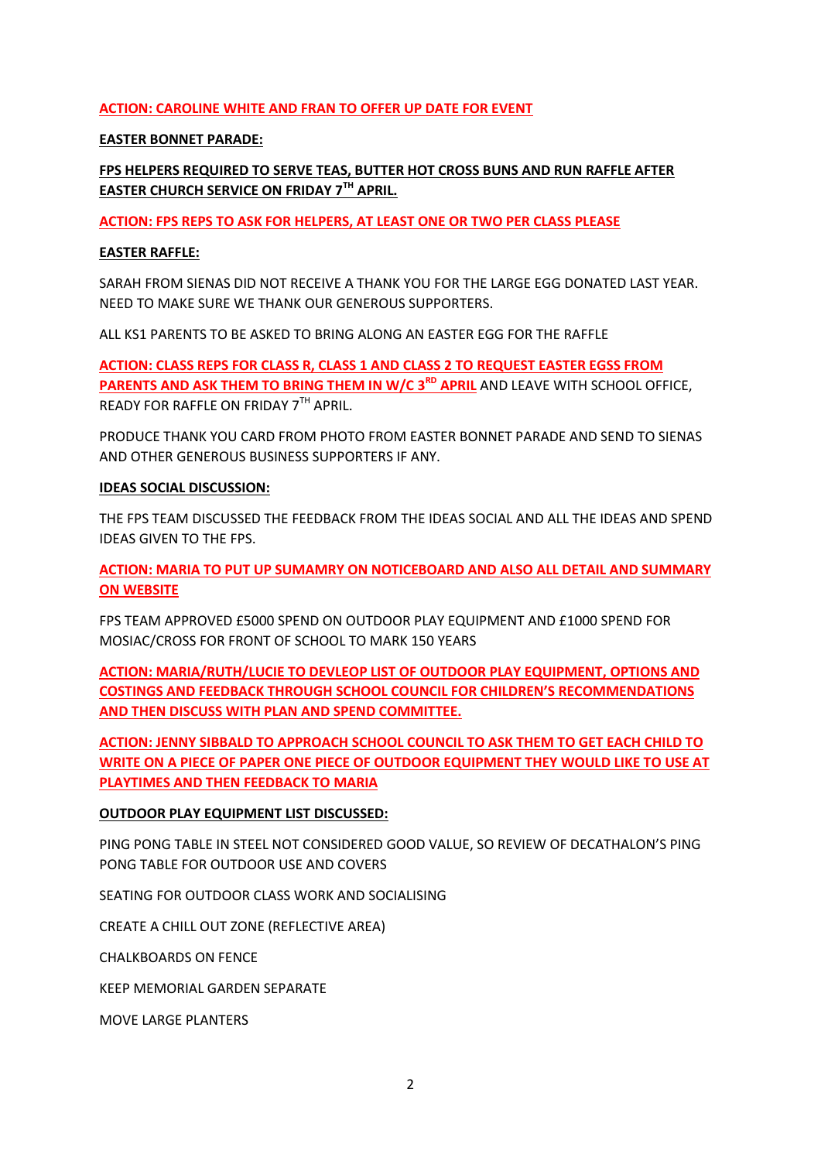# **ACTION: CAROLINE WHITE AND FRAN TO OFFER UP DATE FOR EVENT**

# **EASTER BONNET PARADE:**

# **FPS HELPERS REQUIRED TO SERVE TEAS, BUTTER HOT CROSS BUNS AND RUN RAFFLE AFTER EASTER CHURCH SERVICE ON FRIDAY 7TH APRIL.**

**ACTION: FPS REPS TO ASK FOR HELPERS, AT LEAST ONE OR TWO PER CLASS PLEASE**

# **EASTER RAFFLE:**

SARAH FROM SIENAS DID NOT RECEIVE A THANK YOU FOR THE LARGE EGG DONATED LAST YEAR. NEED TO MAKE SURE WE THANK OUR GENEROUS SUPPORTERS.

ALL KS1 PARENTS TO BE ASKED TO BRING ALONG AN EASTER EGG FOR THE RAFFLE

**ACTION: CLASS REPS FOR CLASS R, CLASS 1 AND CLASS 2 TO REQUEST EASTER EGSS FROM PARENTS AND ASK THEM TO BRING THEM IN W/C 3<sup>RD</sup> APRIL** AND LEAVE WITH SCHOOL OFFICE, READY FOR RAFFLE ON FRIDAY 7TH APRIL.

PRODUCE THANK YOU CARD FROM PHOTO FROM EASTER BONNET PARADE AND SEND TO SIENAS AND OTHER GENEROUS BUSINESS SUPPORTERS IF ANY.

# **IDEAS SOCIAL DISCUSSION:**

THE FPS TEAM DISCUSSED THE FEEDBACK FROM THE IDEAS SOCIAL AND ALL THE IDEAS AND SPEND IDEAS GIVEN TO THE FPS.

**ACTION: MARIA TO PUT UP SUMAMRY ON NOTICEBOARD AND ALSO ALL DETAIL AND SUMMARY ON WEBSITE**

FPS TEAM APPROVED £5000 SPEND ON OUTDOOR PLAY EQUIPMENT AND £1000 SPEND FOR MOSIAC/CROSS FOR FRONT OF SCHOOL TO MARK 150 YEARS

**ACTION: MARIA/RUTH/LUCIE TO DEVLEOP LIST OF OUTDOOR PLAY EQUIPMENT, OPTIONS AND COSTINGS AND FEEDBACK THROUGH SCHOOL COUNCIL FOR CHILDREN'S RECOMMENDATIONS AND THEN DISCUSS WITH PLAN AND SPEND COMMITTEE.**

**ACTION: JENNY SIBBALD TO APPROACH SCHOOL COUNCIL TO ASK THEM TO GET EACH CHILD TO WRITE ON A PIECE OF PAPER ONE PIECE OF OUTDOOR EQUIPMENT THEY WOULD LIKE TO USE AT PLAYTIMES AND THEN FEEDBACK TO MARIA** 

# **OUTDOOR PLAY EQUIPMENT LIST DISCUSSED:**

PING PONG TABLE IN STEEL NOT CONSIDERED GOOD VALUE, SO REVIEW OF DECATHALON'S PING PONG TABLE FOR OUTDOOR USE AND COVERS

SEATING FOR OUTDOOR CLASS WORK AND SOCIALISING

CREATE A CHILL OUT ZONE (REFLECTIVE AREA)

CHALKBOARDS ON FENCE

KEEP MEMORIAL GARDEN SEPARATE

MOVE LARGE PLANTERS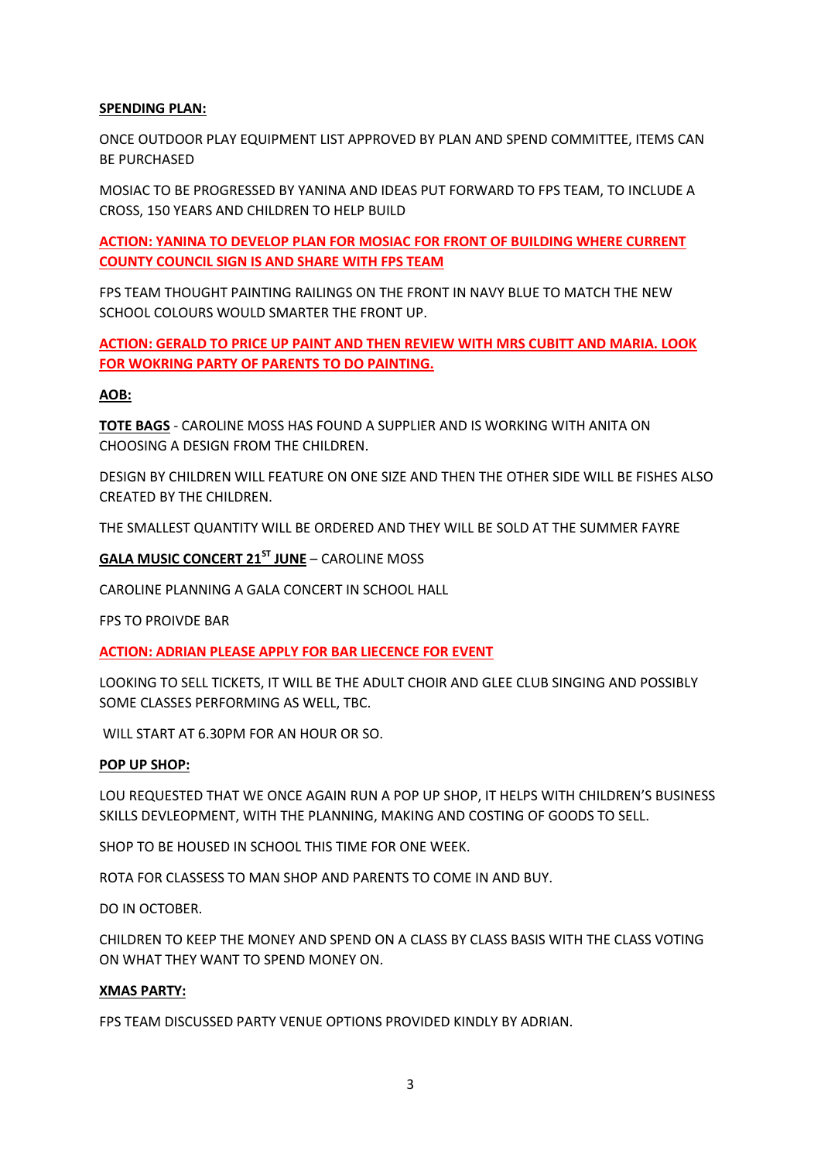# **SPENDING PLAN:**

ONCE OUTDOOR PLAY EQUIPMENT LIST APPROVED BY PLAN AND SPEND COMMITTEE, ITEMS CAN BE PURCHASED

MOSIAC TO BE PROGRESSED BY YANINA AND IDEAS PUT FORWARD TO FPS TEAM, TO INCLUDE A CROSS, 150 YEARS AND CHILDREN TO HELP BUILD

**ACTION: YANINA TO DEVELOP PLAN FOR MOSIAC FOR FRONT OF BUILDING WHERE CURRENT COUNTY COUNCIL SIGN IS AND SHARE WITH FPS TEAM**

FPS TEAM THOUGHT PAINTING RAILINGS ON THE FRONT IN NAVY BLUE TO MATCH THE NEW SCHOOL COLOURS WOULD SMARTER THE FRONT UP.

**ACTION: GERALD TO PRICE UP PAINT AND THEN REVIEW WITH MRS CUBITT AND MARIA. LOOK FOR WOKRING PARTY OF PARENTS TO DO PAINTING.**

# **AOB:**

**TOTE BAGS** - CAROLINE MOSS HAS FOUND A SUPPLIER AND IS WORKING WITH ANITA ON CHOOSING A DESIGN FROM THE CHILDREN.

DESIGN BY CHILDREN WILL FEATURE ON ONE SIZE AND THEN THE OTHER SIDE WILL BE FISHES ALSO CREATED BY THE CHILDREN.

THE SMALLEST QUANTITY WILL BE ORDERED AND THEY WILL BE SOLD AT THE SUMMER FAYRE

#### **GALA MUSIC CONCERT 21ST JUNE** – CAROLINE MOSS

CAROLINE PLANNING A GALA CONCERT IN SCHOOL HALL

FPS TO PROIVDE BAR

**ACTION: ADRIAN PLEASE APPLY FOR BAR LIECENCE FOR EVENT**

LOOKING TO SELL TICKETS, IT WILL BE THE ADULT CHOIR AND GLEE CLUB SINGING AND POSSIBLY SOME CLASSES PERFORMING AS WELL, TBC.

WILL START AT 6.30PM FOR AN HOUR OR SO.

#### **POP UP SHOP:**

LOU REQUESTED THAT WE ONCE AGAIN RUN A POP UP SHOP, IT HELPS WITH CHILDREN'S BUSINESS SKILLS DEVLEOPMENT, WITH THE PLANNING, MAKING AND COSTING OF GOODS TO SELL.

SHOP TO BE HOUSED IN SCHOOL THIS TIME FOR ONE WEEK.

ROTA FOR CLASSESS TO MAN SHOP AND PARENTS TO COME IN AND BUY.

DO IN OCTOBER.

CHILDREN TO KEEP THE MONEY AND SPEND ON A CLASS BY CLASS BASIS WITH THE CLASS VOTING ON WHAT THEY WANT TO SPEND MONEY ON.

#### **XMAS PARTY:**

FPS TEAM DISCUSSED PARTY VENUE OPTIONS PROVIDED KINDLY BY ADRIAN.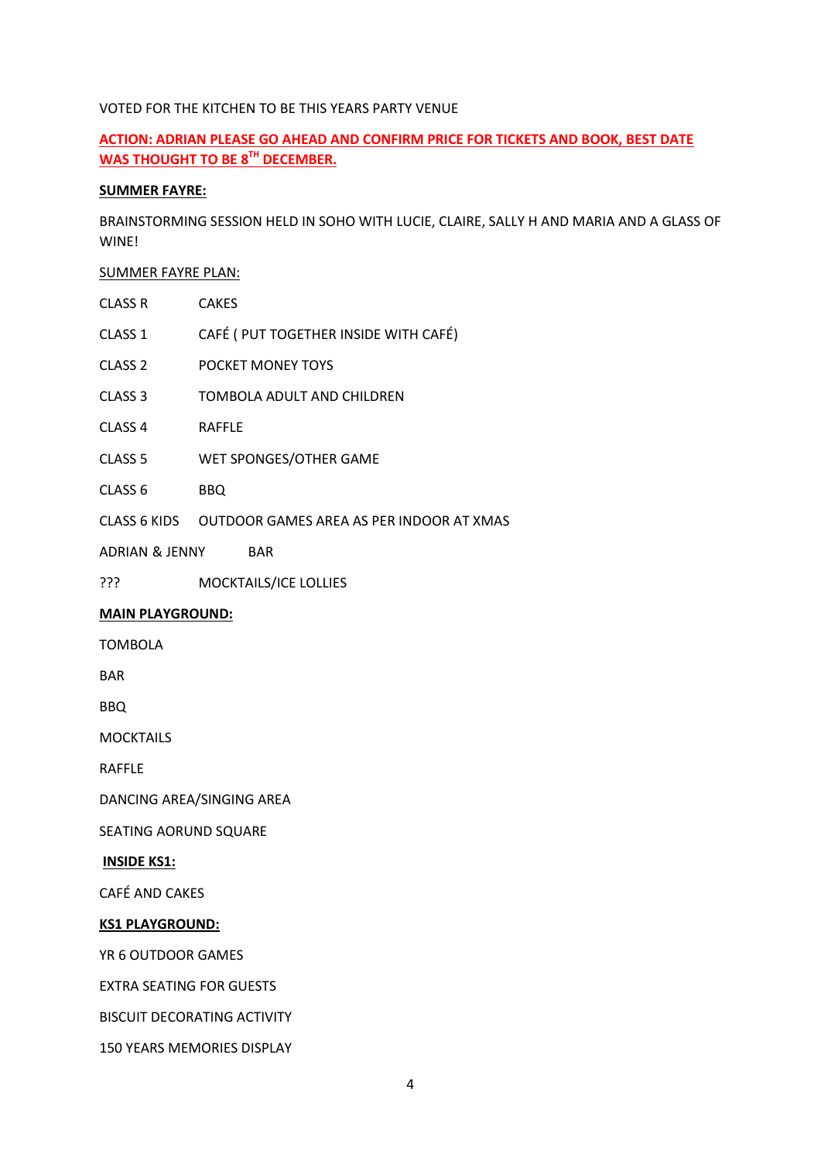# VOTED FOR THE KITCHEN TO BE THIS YEARS PARTY VENUE

# **ACTION: ADRIAN PLEASE GO AHEAD AND CONFIRM PRICE FOR TICKETS AND BOOK, BEST DATE WAS THOUGHT TO BE 8TH DECEMBER.**

# **SUMMER FAYRE:**

BRAINSTORMING SESSION HELD IN SOHO WITH LUCIE, CLAIRE, SALLY H AND MARIA AND A GLASS OF WINE!

# SUMMER FAYRE PLAN:

| CLASS R            | <b>CAKES</b>                          |
|--------------------|---------------------------------------|
| CLASS 1            | CAFÉ ( PUT TOGETHER INSIDE WITH CAFÉ) |
| CLASS <sub>2</sub> | POCKET MONEY TOYS                     |
| CLASS <sub>3</sub> | TOMBOLA ADULT AND CHILDREN            |
| CLASS 4            | <b>RAFFLE</b>                         |

- CLASS 5 WET SPONGES/OTHER GAME
- CLASS 6 BBQ
- CLASS 6 KIDS OUTDOOR GAMES AREA AS PER INDOOR AT XMAS
- ADRIAN & JENNY BAR
- ??? MOCKTAILS/ICE LOLLIES

# **MAIN PLAYGROUND:**

TOMBOLA

BAR

BBQ

MOCKTAILS

RAFFLE

DANCING AREA/SINGING AREA

SEATING AORUND SQUARE

# **INSIDE KS1:**

CAFÉ AND CAKES

# **KS1 PLAYGROUND:**

YR 6 OUTDOOR GAMES

EXTRA SEATING FOR GUESTS

BISCUIT DECORATING ACTIVITY

150 YEARS MEMORIES DISPLAY